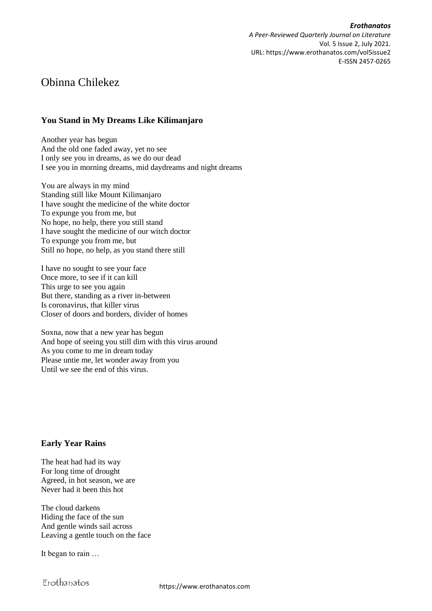*Erothanatos A Peer-Reviewed Quarterly Journal on Literature* Vol. 5 Issue 2, July 2021. URL: https://www.erothanatos.com/vol5issue2 E-ISSN 2457-0265

# Obinna Chilekez

## **You Stand in My Dreams Like Kilimanjaro**

Another year has begun And the old one faded away, yet no see I only see you in dreams, as we do our dead I see you in morning dreams, mid daydreams and night dreams

You are always in my mind Standing still like Mount Kilimanjaro I have sought the medicine of the white doctor To expunge you from me, but No hope, no help, there you still stand I have sought the medicine of our witch doctor To expunge you from me, but Still no hope, no help, as you stand there still

I have no sought to see your face Once more, to see if it can kill This urge to see you again But there, standing as a river in-between Is coronavirus, that killer virus Closer of doors and borders, divider of homes

Soxna, now that a new year has begun And hope of seeing you still dim with this virus around As you come to me in dream today Please untie me, let wonder away from you Until we see the end of this virus.

## **Early Year Rains**

The heat had had its way For long time of drought Agreed, in hot season, we are Never had it been this hot

The cloud darkens Hiding the face of the sun And gentle winds sail across Leaving a gentle touch on the face

It began to rain …

Erothanatos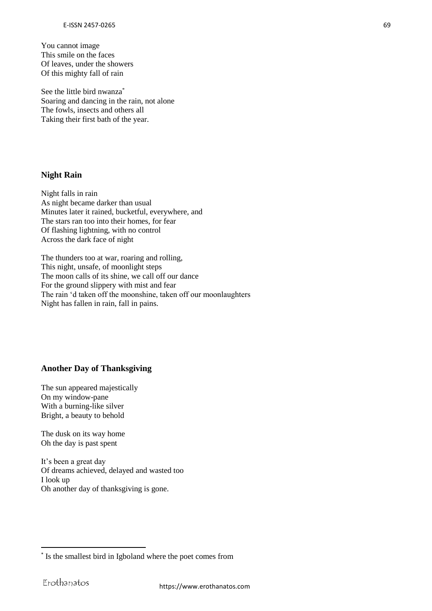You cannot image This smile on the faces Of leaves, under the showers Of this mighty fall of rain

See the little bird nwanza<sup>\*</sup> Soaring and dancing in the rain, not alone The fowls, insects and others all Taking their first bath of the year.

#### **Night Rain**

Night falls in rain As night became darker than usual Minutes later it rained, bucketful, everywhere, and The stars ran too into their homes, for fear Of flashing lightning, with no control Across the dark face of night

The thunders too at war, roaring and rolling, This night, unsafe, of moonlight steps The moon calls of its shine, we call off our dance For the ground slippery with mist and fear The rain 'd taken off the moonshine, taken off our moonlaughters Night has fallen in rain, fall in pains.

#### **Another Day of Thanksgiving**

The sun appeared majestically On my window-pane With a burning-like silver Bright, a beauty to behold

The dusk on its way home Oh the day is past spent

It's been a great day Of dreams achieved, delayed and wasted too I look up Oh another day of thanksgiving is gone.

1

<sup>\*</sup> Is the smallest bird in Igboland where the poet comes from